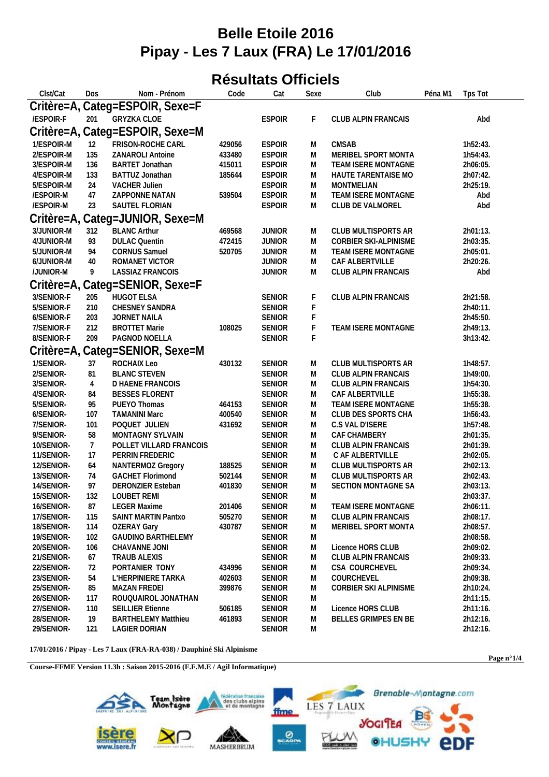## **Belle Etoile 2016 Pipay - Les 7 Laux (FRA) Le 17/01/2016**

## **Résultats Officiels**

| Clst/Cat   | Dos            | Nom - Prénom                    | Code   | Cat           | Sexe | Club                       | Péna M1 | Tps Tot  |  |
|------------|----------------|---------------------------------|--------|---------------|------|----------------------------|---------|----------|--|
|            |                | Critère=A, Categ=ESPOIR, Sexe=F |        |               |      |                            |         |          |  |
| /ESPOIR-F  | 201            | <b>GRYZKA CLOE</b>              |        | <b>ESPOIR</b> | F    | CLUB ALPIN FRANCAIS        |         | Abd      |  |
|            |                | Critère=A, Categ=ESPOIR, Sexe=M |        |               |      |                            |         |          |  |
| 1/ESPOIR-M | 12             | FRISON-ROCHE CARL               | 429056 | <b>ESPOIR</b> | M    | <b>CMSAB</b>               |         | 1h52:43. |  |
| 2/ESPOIR-M | 135            | ZANAROLI Antoine                | 433480 | <b>ESPOIR</b> | M    | MERIBEL SPORT MONTA        |         | 1h54:43. |  |
| 3/ESPOIR-M | 136            | <b>BARTET Jonathan</b>          | 415011 | <b>ESPOIR</b> | M    | TEAM ISERE MONTAGNE        |         | 2h06:05. |  |
| 4/ESPOIR-M | 133            | BATTUZ Jonathan                 | 185644 | <b>ESPOIR</b> | M    | HAUTE TARENTAISE MO        |         | 2h07:42. |  |
| 5/ESPOIR-M | 24             | <b>VACHER Julien</b>            |        | <b>ESPOIR</b> | M    | <b>MONTMELIAN</b>          |         | 2h25:19. |  |
| /ESPOIR-M  | 47             | ZAPPONNE NATAN                  | 539504 | <b>ESPOIR</b> | M    | TEAM ISERE MONTAGNE        |         | Abd      |  |
| /ESPOIR-M  | 23             | SAUTEL FLORIAN                  |        | <b>ESPOIR</b> | M    | CLUB DE VALMOREL           |         | Abd      |  |
|            |                | Critère=A, Categ=JUNIOR, Sexe=M |        |               |      |                            |         |          |  |
| 3/JUNIOR-M | 312            | <b>BLANC Arthur</b>             | 469568 | <b>JUNIOR</b> | M    | CLUB MULTISPORTS AR        |         | 2h01:13. |  |
| 4/JUNIOR-M | 93             | <b>DULAC Quentin</b>            | 472415 | <b>JUNIOR</b> | M    | CORBIER SKI-ALPINISME      |         | 2h03:35. |  |
| 5/JUNIOR-M | 94             | <b>CORNUS Samuel</b>            | 520705 | <b>JUNIOR</b> | M    | TEAM ISERE MONTAGNE        |         | 2h05:01. |  |
| 6/JUNIOR-M | 40             | ROMANET VICTOR                  |        | <b>JUNIOR</b> | M    | CAF ALBERTVILLE            |         | 2h20:26. |  |
| /JUNIOR-M  | 9              | LASSIAZ FRANCOIS                |        | <b>JUNIOR</b> | M    | CLUB ALPIN FRANCAIS        |         | Abd      |  |
|            |                | Critère=A, Categ=SENIOR, Sexe=F |        |               |      |                            |         |          |  |
| 3/SENIOR-F | 205            | <b>HUGOT ELSA</b>               |        | <b>SENIOR</b> | F    | CLUB ALPIN FRANCAIS        |         | 2h21:58. |  |
| 5/SENIOR-F | 210            | CHESNEY SANDRA                  |        | <b>SENIOR</b> | F    |                            |         | 2h40:11. |  |
| 6/SENIOR-F | 203            | JORNET NAILA                    |        | SENIOR        |      |                            |         | 2h45:50. |  |
| 7/SENIOR-F | 212            | <b>BROTTET Marie</b>            | 108025 | SENIOR        |      | TEAM ISERE MONTAGNE        |         | 2h49:13. |  |
| 8/SENIOR-F | 209            | PAGNOD NOELLA                   |        | SENIOR        | F    |                            |         | 3h13:42. |  |
|            |                | Critère=A, Categ=SENIOR, Sexe=M |        |               |      |                            |         |          |  |
| 1/SENIOR-  | 37             | ROCHAIX Leo                     | 430132 | SENIOR        | M    | CLUB MULTISPORTS AR        |         | 1h48:57. |  |
| 2/SENIOR-  | 81             | <b>BLANC STEVEN</b>             |        | <b>SENIOR</b> | M    | CLUB ALPIN FRANCAIS        |         | 1h49:00. |  |
| 3/SENIOR-  | 4              | D HAENE FRANCOIS                |        | <b>SENIOR</b> | M    | <b>CLUB ALPIN FRANCAIS</b> |         | 1h54:30. |  |
| 4/SENIOR-  | 84             | <b>BESSES FLORENT</b>           |        | SENIOR        | M    | CAF ALBERTVILLE            |         | 1h55:38. |  |
| 5/SENIOR-  | 95             | PUEYO Thomas                    | 464153 | <b>SENIOR</b> | M    | TEAM ISERE MONTAGNE        |         | 1h55:38. |  |
| 6/SENIOR-  | 107            | <b>TAMANINI Marc</b>            | 400540 | SENIOR        | M    | CLUB DES SPORTS CHA        |         | 1h56:43. |  |
| 7/SENIOR-  | 101            | POQUET JULIEN                   | 431692 | <b>SENIOR</b> | M    | C.S VAL D'ISERE            |         | 1h57:48. |  |
| 9/SENIOR-  | 58             | MONTAGNY SYLVAIN                |        | SENIOR        | M    | CAF CHAMBERY               |         | 2h01:35. |  |
| 10/SENIOR- | $\overline{7}$ | POLLET VILLARD FRANCOIS         |        | <b>SENIOR</b> | M    | CLUB ALPIN FRANCAIS        |         | 2h01:39. |  |
| 11/SENIOR- | 17             | PERRIN FREDERIC                 |        | <b>SENIOR</b> | M    | C AF ALBERTVILLE           |         | 2h02:05. |  |
| 12/SENIOR- | 64             | NANTERMOZ Gregory               | 188525 | SENIOR        | M    | CLUB MULTISPORTS AR        |         | 2h02:13. |  |
| 13/SENIOR- | 74             | <b>GACHET Florimond</b>         | 502144 | SENIOR        | M    | CLUB MULTISPORTS AR        |         | 2h02:43. |  |
| 14/SENIOR- | 97             | DERONZIER Esteban               | 401830 | <b>SENIOR</b> | M    | SECTION MONTAGNE SA        |         | 2h03:13. |  |
| 15/SENIOR- | 132            | LOUBET REMI                     |        | <b>SENIOR</b> | M    |                            |         | 2h03:37. |  |
| 16/SENIOR- | 87             | <b>LEGER Maxime</b>             | 201406 | <b>SENIOR</b> | M    | TEAM ISERE MONTAGNE        |         | 2h06:11. |  |
| 17/SENIOR- | 115            | SAINT MARTIN Pantxo             | 505270 | SENIOR        | M    | CLUB ALPIN FRANCAIS        |         | 2h08:17. |  |
| 18/SENIOR- | 114            | <b>OZERAY Gary</b>              | 430787 | <b>SENIOR</b> | M    | MERIBEL SPORT MONTA        |         | 2h08:57. |  |
| 19/SENIOR- | 102            | GAUDINO BARTHELEMY              |        | <b>SENIOR</b> | M    |                            |         | 2h08:58. |  |
| 20/SENIOR- | 106            | CHAVANNE JONI                   |        | <b>SENIOR</b> | M    | Licence HORS CLUB          |         | 2h09:02. |  |
| 21/SENIOR- | 67             | TRAUB ALEXIS                    |        | <b>SENIOR</b> | M    | CLUB ALPIN FRANCAIS        |         | 2h09:33. |  |
| 22/SENIOR- | 72             | PORTANIER TONY                  | 434996 | <b>SENIOR</b> | M    | <b>CSA COURCHEVEL</b>      |         | 2h09:34. |  |
| 23/SENIOR- | 54             | L'HERPINIERE TARKA              | 402603 | <b>SENIOR</b> | M    | COURCHEVEL                 |         | 2h09:38. |  |
| 25/SENIOR- | 85             | <b>MAZAN FREDEI</b>             | 399876 | <b>SENIOR</b> | M    | CORBIER SKI ALPINISME      |         | 2h10:24. |  |
| 26/SENIOR- | 117            | ROUQUAIROL JONATHAN             |        | <b>SENIOR</b> | M    |                            |         | 2h11:15. |  |
| 27/SENIOR- | 110            | <b>SEILLIER Etienne</b>         | 506185 | <b>SENIOR</b> | M    | Licence HORS CLUB          |         | 2h11:16. |  |
| 28/SENIOR- | 19             | <b>BARTHELEMY Matthieu</b>      | 461893 | <b>SENIOR</b> | M    | BELLES GRIMPES EN BE       |         | 2h12:16. |  |
| 29/SENIOR- | 121            | LAGIER DORIAN                   |        | <b>SENIOR</b> | M    |                            |         | 2h12:16. |  |

**17/01/2016 / Pipay - Les 7 Laux (FRA-RA-038) / Dauphiné Ski Alpinisme**

**Course-FFME Version 11.3h : Saison 2015-2016 (F.F.M.E / Agil Informatique)**



**Page n°1/4**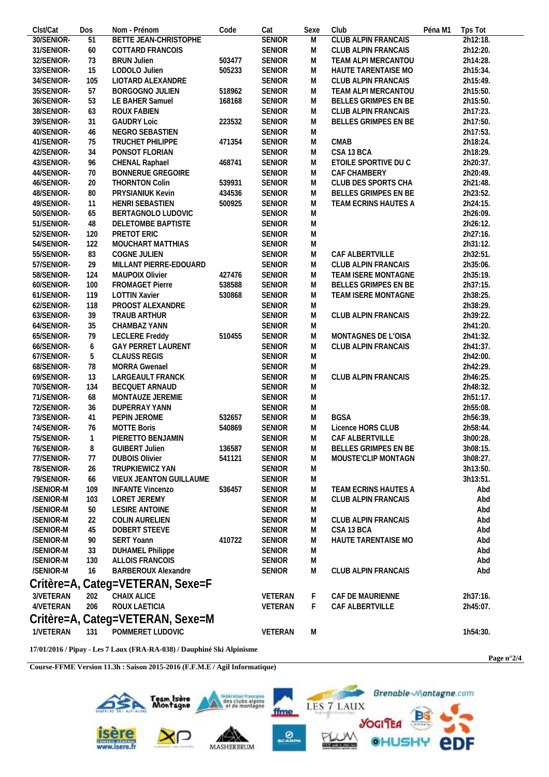| Clst/Cat   | Dos | Nom - Prénom                     | Code   | Cat           | Sexe | Club                       | Péna M1 | Tps Tot  |
|------------|-----|----------------------------------|--------|---------------|------|----------------------------|---------|----------|
| 30/SENIOR- | 51  | BETTE JEAN-CHRISTOPHE            |        | <b>SENIOR</b> | M    | CLUB ALPIN FRANCAIS        |         | 2h12:18. |
| 31/SENIOR- | 60  | COTTARD FRANCOIS                 |        | <b>SENIOR</b> | M    | CLUB ALPIN FRANCAIS        |         | 2h12:20. |
| 32/SENIOR- | 73  | <b>BRUN Julien</b>               | 503477 | SENIOR        | M    | TEAM ALPI MERCANTOU        |         | 2h14:28. |
| 33/SENIOR- | 15  | LODOLO Julien                    | 505233 | <b>SENIOR</b> | M    | HAUTE TARENTAISE MO        |         | 2h15:34. |
| 34/SENIOR- | 105 | LIOTARD ALEXANDRE                |        | SENIOR        | M    | CLUB ALPIN FRANCAIS        |         | 2h15:49. |
| 35/SENIOR- | 57  | BORGOGNO JULIEN                  | 518962 | SENIOR        | M    | TEAM ALPI MERCANTOU        |         | 2h15:50. |
| 36/SENIOR- | 53  | LE BAHER Samuel                  | 168168 | SENIOR        | M    | BELLES GRIMPES EN BE       |         | 2h15:50. |
| 38/SENIOR- | 63  | ROUX FABIEN                      |        | SENIOR        | M    | CLUB ALPIN FRANCAIS        |         | 2h17:23. |
| 39/SENIOR- | 31  | <b>GAUDRY Loic</b>               | 223532 | <b>SENIOR</b> | M    | BELLES GRIMPES EN BE       |         | 2h17:50. |
| 40/SENIOR- | 46  | NEGRO SEBASTIEN                  |        | SENIOR        | M    |                            |         | 2h17:53. |
| 41/SENIOR- | 75  | TRUCHET PHILIPPE                 | 471354 | SENIOR        | M    | <b>CMAB</b>                |         | 2h18:24. |
| 42/SENIOR- | 34  | PONSOT FLORIAN                   |        | SENIOR        | M    | CSA 13 BCA                 |         | 2h18:29. |
| 43/SENIOR- | 96  | CHENAL Raphael                   | 468741 | SENIOR        | M    | ETOILE SPORTIVE DU C       |         | 2h20:37. |
| 44/SENIOR- | 70  | <b>BONNERUE GREGOIRE</b>         |        | SENIOR        | M    | CAF CHAMBERY               |         | 2h20:49. |
| 46/SENIOR- | 20  | THORNTON Colin                   | 539931 | SENIOR        | M    | CLUB DES SPORTS CHA        |         | 2h21:48. |
| 48/SENIOR- | 80  | PRYSIANIUK Kevin                 | 434536 | SENIOR        | M    | BELLES GRIMPES EN BE       |         | 2h23:52. |
| 49/SENIOR- | 11  | HENRI SEBASTIEN                  | 500925 | SENIOR        | M    | TEAM ECRINS HAUTES A       |         | 2h24:15. |
| 50/SENIOR- | 65  | BERTAGNOLO LUDOVIC               |        | SENIOR        | M    |                            |         | 2h26:09. |
| 51/SENIOR- | 48  | DELETOMBE BAPTISTE               |        | SENIOR        | M    |                            |         | 2h26:12. |
| 52/SENIOR- | 120 | PRETOT ERIC                      |        | <b>SENIOR</b> | M    |                            |         | 2h27:16. |
| 54/SENIOR- | 122 | MOUCHART MATTHIAS                |        | <b>SENIOR</b> | M    |                            |         | 2h31:12. |
| 55/SENIOR- | 83  | COGNE JULIEN                     |        | <b>SENIOR</b> | M    | CAF ALBERTVILLE            |         | 2h32:51. |
| 57/SENIOR- | 29  | MILLANT PIERRE-EDOUARD           |        | SENIOR        | M    | <b>CLUB ALPIN FRANCAIS</b> |         | 2h35:06. |
| 58/SENIOR- | 124 | <b>MAUPOIX Olivier</b>           | 427476 | SENIOR        | M    | TEAM ISERE MONTAGNE        |         | 2h35:19. |
| 60/SENIOR- | 100 | <b>FROMAGET Pierre</b>           | 538588 | SENIOR        | M    | BELLES GRIMPES EN BE       |         | 2h37:15. |
| 61/SENIOR- |     |                                  |        |               |      |                            |         |          |
|            | 119 | <b>LOTTIN Xavier</b>             | 530868 | SENIOR        | M    | TEAM ISERE MONTAGNE        |         | 2h38:25. |
| 62/SENIOR- | 118 | PROOST ALEXANDRE                 |        | SENIOR        | M    |                            |         | 2h38:29. |
| 63/SENIOR- | 39  | TRAUB ARTHUR                     |        | <b>SENIOR</b> | M    | <b>CLUB ALPIN FRANCAIS</b> |         | 2h39:22. |
| 64/SENIOR- | 35  | CHAMBAZ YANN                     |        | SENIOR        | M    |                            |         | 2h41:20. |
| 65/SENIOR- | 79  | <b>LECLERE Freddy</b>            | 510455 | <b>SENIOR</b> | M    | MONTAGNES DE L'OISA        |         | 2h41:32. |
| 66/SENIOR- | 6   | <b>GAY PERRET LAURENT</b>        |        | SENIOR        | M    | <b>CLUB ALPIN FRANCAIS</b> |         | 2h41:37. |
| 67/SENIOR- | 5   | <b>CLAUSS REGIS</b>              |        | SENIOR        | M    |                            |         | 2h42:00. |
| 68/SENIOR- | 78  | MORRA Gwenael                    |        | SENIOR        | M    |                            |         | 2h42:29. |
| 69/SENIOR- | 13  | LARGEAULT FRANCK                 |        | <b>SENIOR</b> | M    | <b>CLUB ALPIN FRANCAIS</b> |         | 2h46:25. |
| 70/SENIOR- | 134 | BECQUET ARNAUD                   |        | SENIOR        | M    |                            |         | 2h48:32. |
| 71/SENIOR- | 68  | MONTAUZE JEREMIE                 |        | <b>SENIOR</b> | M    |                            |         | 2h51:17. |
| 72/SENIOR- | 36  | <b>DUPERRAY YANN</b>             |        | SENIOR        | M    |                            |         | 2h55:08. |
| 73/SENIOR- | 41  | PEPIN JEROME                     | 532657 | SENIOR        | M    | <b>BGSA</b>                |         | 2h56:39. |
| 74/SENIOR- | 76  | <b>MOTTE Boris</b>               | 540869 | SENIOR        | M    | Licence HORS CLUB          |         | 2h58:44. |
| 75/SENIOR- |     | PIERETTO BENJAMIN                |        | <b>SENIOR</b> | M    | CAF ALBERTVILLE            |         | 3h00:28. |
| 76/SENIOR- | 8   | <b>GUIBERT Julien</b>            | 136587 | <b>SENIOR</b> | M    | BELLES GRIMPES EN BE       |         | 3h08:15. |
| 77/SENIOR- | 77  | <b>DUBOIS Olivier</b>            | 541121 | <b>SENIOR</b> | M    | MOUSTE'CLIP MONTAGN        |         | 3h08:27. |
| 78/SENIOR- | 26  | TRUPKIEWICZ YAN                  |        | <b>SENIOR</b> | M    |                            |         | 3h13:50. |
| 79/SENIOR- | 66  | VIEUX JEANTON GUILLAUME          |        | SENIOR        | M    |                            |         | 3h13:51. |
| /SENIOR-M  | 109 | <b>INFANTE Vincenzo</b>          | 536457 | SENIOR        | M    | TEAM ECRINS HAUTES A       |         | Abd      |
| /SENIOR-M  | 103 | LORET JEREMY                     |        | SENIOR        | M    | CLUB ALPIN FRANCAIS        |         | Abd      |
| /SENIOR-M  | 50  | LESIRE ANTOINE                   |        | SENIOR        | M    |                            |         | Abd      |
| /SENIOR-M  | 22  | COLIN AURELIEN                   |        | SENIOR        | M    | CLUB ALPIN FRANCAIS        |         | Abd      |
| /SENIOR-M  | 45  | DOBERT STEEVE                    |        | <b>SENIOR</b> | M    | CSA 13 BCA                 |         | Abd      |
| /SENIOR-M  | 90  | <b>SERT Yoann</b>                | 410722 | <b>SENIOR</b> | M    | HAUTE TARENTAISE MO        |         | Abd      |
| /SENIOR-M  | 33  | <b>DUHAMEL Philippe</b>          |        | <b>SENIOR</b> | M    |                            |         | Abd      |
|            |     |                                  |        |               |      |                            |         |          |
| /SENIOR-M  | 130 | ALLOIS FRANCOIS                  |        | <b>SENIOR</b> | M    |                            |         | Abd      |
| /SENIOR-M  | 16  | <b>BARBEROUX Alexandre</b>       |        | SENIOR        | M    | CLUB ALPIN FRANCAIS        |         | Abd      |
|            |     | Critère=A, Categ=VETERAN, Sexe=F |        |               |      |                            |         |          |
| 3/VETERAN  | 202 | CHAIX ALICE                      |        | VETERAN       | F    | CAF DE MAURIENNE           |         | 2h37:16. |
| 4/VETERAN  | 206 | ROUX LAETICIA                    |        | VETERAN       | F    | CAF ALBERTVILLE            |         | 2h45:07. |
|            |     |                                  |        |               |      |                            |         |          |
|            |     | Critère=A, Categ=VETERAN, Sexe=M |        |               |      |                            |         |          |
| 1/VETERAN  | 131 | POMMERET LUDOVIC                 |        | VETERAN       | M    |                            |         | 1h54:30. |
|            |     |                                  |        |               |      |                            |         |          |

**17/01/2016 / Pipay - Les 7 Laux (FRA-RA-038) / Dauphiné Ski Alpinisme**

**Course-FFME Version 11.3h : Saison 2015-2016 (F.F.M.E / Agil Informatique)**



**Page n°2/4**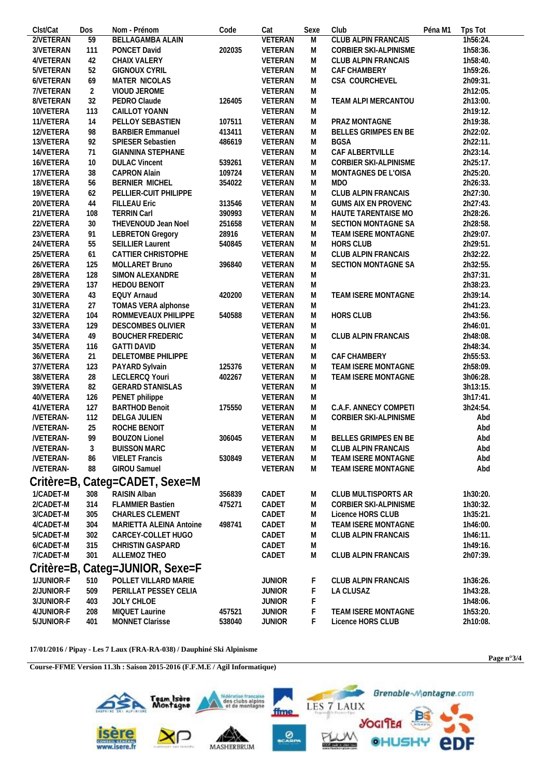| Clst/Cat        | Dos            | Nom - Prénom                    | Code   | Cat            | Sexe | Club                        | Péna M1 | Tps Tot  |  |  |
|-----------------|----------------|---------------------------------|--------|----------------|------|-----------------------------|---------|----------|--|--|
| 2/VETERAN       | 59             | <b>BELLAGAMBA ALAIN</b>         |        | <b>VETERAN</b> | M    | <b>CLUB ALPIN FRANCAIS</b>  |         | 1h56:24. |  |  |
| 3/VETERAN       | 111            | PONCET David                    | 202035 | VETERAN        | M    | CORBIER SKI-ALPINISME       |         | 1h58:36. |  |  |
| 4/VETERAN       | 42             | CHAIX VALERY                    |        | VETERAN        | M    | CLUB ALPIN FRANCAIS         |         | 1h58:40. |  |  |
| 5/VETERAN       | 52             | <b>GIGNOUX CYRIL</b>            |        | VETERAN        | M    | CAF CHAMBERY                |         | 1h59:26. |  |  |
| 6/VETERAN       | 69             | MATER NICOLAS                   |        | VETERAN        | M    | CSA COURCHEVEL              |         | 2h09:31. |  |  |
| 7/VETERAN       | $\overline{2}$ | VIOUD JEROME                    |        | VETERAN        | M    |                             |         | 2h12:05. |  |  |
| 8/VETERAN       | 32             | PEDRO Claude                    | 126405 | VETERAN        | M    | TEAM ALPI MERCANTOU         |         | 2h13:00. |  |  |
| 10/VETERA       | 113            | CAILLOT YOANN                   |        | VETERAN        | M    |                             |         | 2h19:12. |  |  |
| 11/VETERA       | 14             | PELLOY SEBASTIEN                | 107511 | VETERAN        | M    | PRAZ MONTAGNE               |         | 2h19:38. |  |  |
| 12/VETERA       | 98             | <b>BARBIER Emmanuel</b>         | 413411 | VETERAN        | M    | BELLES GRIMPES EN BE        |         | 2h22:02. |  |  |
| 13/VETERA       | 92             | SPIESER Sebastien               | 486619 | VETERAN        | M    | <b>BGSA</b>                 |         | 2h22:11. |  |  |
| 14/VETERA       | 71             | <b>GIANNINA STEPHANE</b>        |        | VETERAN        | M    | CAF ALBERTVILLE             |         | 2h23:14. |  |  |
| 16/VETERA       | 10             | <b>DULAC Vincent</b>            | 539261 | VETERAN        | M    | CORBIER SKI-ALPINISME       |         | 2h25:17. |  |  |
| 17/VETERA       | 38             | <b>CAPRON Alain</b>             | 109724 | VETERAN        | M    | MONTAGNES DE L'OISA         |         | 2h25:20. |  |  |
| 18/VETERA       | 56             | BERNIER MICHEL                  | 354022 | VETERAN        | M    | <b>MDO</b>                  |         | 2h26:33. |  |  |
| 19/VETERA       | 62             | PELLIER-CUIT PHILIPPE           |        | VETERAN        | M    | CLUB ALPIN FRANCAIS         |         | 2h27:30. |  |  |
| 20/VETERA       | 44             | <b>FILLEAU Eric</b>             | 313546 | VETERAN        | M    | <b>GUMS AIX EN PROVENC</b>  |         | 2h27:43. |  |  |
| 21/VETERA       | 108            | <b>TERRIN Carl</b>              | 390993 | VETERAN        | M    | HAUTE TARENTAISE MO         |         | 2h28:26. |  |  |
| 22/VETERA       | 30             | THEVENOUD Jean Noel             | 251658 | VETERAN        | M    | SECTION MONTAGNE SA         |         | 2h28:58. |  |  |
| 23/VETERA       | 91             | <b>LEBRETON Gregory</b>         | 28916  | VETERAN        | M    | TEAM ISERE MONTAGNE         |         | 2h29:07. |  |  |
| 24/VETERA       | 55             | <b>SEILLIER Laurent</b>         | 540845 | VETERAN        | M    | <b>HORS CLUB</b>            |         | 2h29:51. |  |  |
| 25/VETERA       | 61             | CATTIER CHRISTOPHE              |        | VETERAN        | M    | CLUB ALPIN FRANCAIS         |         | 2h32:22. |  |  |
| 26/VETERA       | 125            | MOLLARET Bruno                  | 396840 | VETERAN        | M    | SECTION MONTAGNE SA         |         | 2h32:55. |  |  |
| 28/VETERA       | 128            | SIMON ALEXANDRE                 |        | VETERAN        | M    |                             |         | 2h37:31. |  |  |
| 29/VETERA       | 137            | <b>HEDOU BENOIT</b>             |        | VETERAN        | M    |                             |         | 2h38:23. |  |  |
| 30/VETERA       | 43             | <b>EQUY Arnaud</b>              | 420200 | VETERAN        | M    | TEAM ISERE MONTAGNE         |         | 2h39:14. |  |  |
| 31/VETERA       | 27             | TOMAS VERA alphonse             |        | VETERAN        | M    |                             |         | 2h41:23. |  |  |
| 32/VETERA       | 104            | ROMMEVEAUX PHILIPPE             | 540588 | VETERAN        | M    | <b>HORS CLUB</b>            |         | 2h43:56. |  |  |
| 33/VETERA       | 129            | DESCOMBES OLIVIER               |        | VETERAN        | M    |                             |         | 2h46:01. |  |  |
| 34/VETERA       | 49             | <b>BOUCHER FREDERIC</b>         |        | VETERAN        | M    | CLUB ALPIN FRANCAIS         |         | 2h48:08. |  |  |
| 35/VETERA       | 116            | <b>GATTI DAVID</b>              |        | VETERAN        | M    |                             |         | 2h48:34. |  |  |
| 36/VETERA       | 21             | DELETOMBE PHILIPPE              |        | VETERAN        | M    | CAF CHAMBERY                |         | 2h55:53. |  |  |
| 37/VETERA       | 123            | PAYARD Sylvain                  | 125376 | VETERAN        | M    | TEAM ISERE MONTAGNE         |         | 2h58:09. |  |  |
| 38/VETERA       | 28             | LECLERCQ Youri                  | 402267 | VETERAN        | M    | TEAM ISERE MONTAGNE         |         | 3h06:28. |  |  |
| 39/VETERA       | 82             | <b>GERARD STANISLAS</b>         |        | VETERAN        | M    |                             |         | 3h13:15. |  |  |
|                 | 126            |                                 |        |                |      |                             |         |          |  |  |
| 40/VETERA       | 127            | PENET philippe                  |        | VETERAN        | M    | C.A.F. ANNECY COMPETI       |         | 3h17:41. |  |  |
| 41/VETERA       |                | <b>BARTHOD Benoit</b>           | 175550 | VETERAN        | M    |                             |         | 3h24:54. |  |  |
| /VETERAN-       | 112            | DELGA JULIEN                    |        | VETERAN        | M    | CORBIER SKI-ALPINISME       |         | Abd      |  |  |
| <b>NETERAN-</b> | 25<br>QQ       | ROCHE BENOIT                    |        | VETERAN        | M    |                             |         | Abd      |  |  |
| /VETERAN-       |                | <b>BOUZON Lionel</b>            | 306045 | VETERAN        | M    | <b>BELLES GRIMPES EN BE</b> |         | Abd      |  |  |
| <b>NETERAN-</b> | 3              | <b>BUISSON MARC</b>             |        | VETERAN        | M    | <b>CLUB ALPIN FRANCAIS</b>  |         | Abd      |  |  |
| /VETERAN-       | 86             | <b>VIELET Francis</b>           | 530849 | VETERAN        | M    | TEAM ISERE MONTAGNE         |         | Abd      |  |  |
| <b>NETERAN-</b> | 88             | GIROU Samuel                    |        | VETERAN        | M    | TEAM ISERE MONTAGNE         |         | Abd      |  |  |
|                 |                | Critère=B, Categ=CADET, Sexe=M  |        |                |      |                             |         |          |  |  |
| 1/CADET-M       | 308            | RAISIN Alban                    | 356839 | CADET          | M    | CLUB MULTISPORTS AR         |         | 1h30:20. |  |  |
| 2/CADET-M       | 314            | <b>FLAMMIER Bastien</b>         | 475271 | CADET          | M    | CORBIER SKI-ALPINISME       |         | 1h30:32. |  |  |
| 3/CADET-M       | 305            | CHARLES CLEMENT                 |        | CADET          | M    | Licence HORS CLUB           |         | 1h35:21. |  |  |
| 4/CADET-M       | 304            | MARIETTA ALEINA Antoine         | 498741 | CADET          | M    | TEAM ISERE MONTAGNE         |         | 1h46:00. |  |  |
| 5/CADET-M       | 302            | CARCEY-COLLET HUGO              |        | CADET          | M    | CLUB ALPIN FRANCAIS         |         | 1h46:11. |  |  |
| 6/CADET-M       | 315            | <b>CHRISTIN GASPARD</b>         |        | CADET          | M    |                             |         | 1h49:16. |  |  |
| 7/CADET-M       | 301            | ALLEMOZ THEO                    |        | CADET          | M    | CLUB ALPIN FRANCAIS         |         | 2h07:39. |  |  |
|                 |                |                                 |        |                |      |                             |         |          |  |  |
|                 |                | Critère=B, Categ=JUNIOR, Sexe=F |        |                |      |                             |         |          |  |  |
| 1/JUNIOR-F      | 510            | POLLET VILLARD MARIE            |        | <b>JUNIOR</b>  | F    | <b>CLUB ALPIN FRANCAIS</b>  |         | 1h36:26. |  |  |
| 2/JUNIOR-F      | 509            | PERILLAT PESSEY CELIA           |        | <b>JUNIOR</b>  | F    | LA CLUSAZ                   |         | 1h43:28. |  |  |
| 3/JUNIOR-F      | 403            | JOLY CHLOE                      |        | <b>JUNIOR</b>  | F    |                             |         | 1h48:06. |  |  |
| 4/JUNIOR-F      | 208            | MIQUET Laurine                  | 457521 | <b>JUNIOR</b>  | F    | TEAM ISERE MONTAGNE         |         | 1h53:20. |  |  |
| 5/JUNIOR-F      | 401            | MONNET Clarisse                 | 538040 | <b>JUNIOR</b>  | F    | Licence HORS CLUB           |         | 2h10:08. |  |  |

 $17/01/2016$ / Pipay - Les 7 Laux (FRA-RA-038) / Dauphiné Ski Alpinisme

Course-FFME Version 11.3h : Saison 2015-2016 (F.F.M.E / Agil Informatique)



Page  $n°3/4$